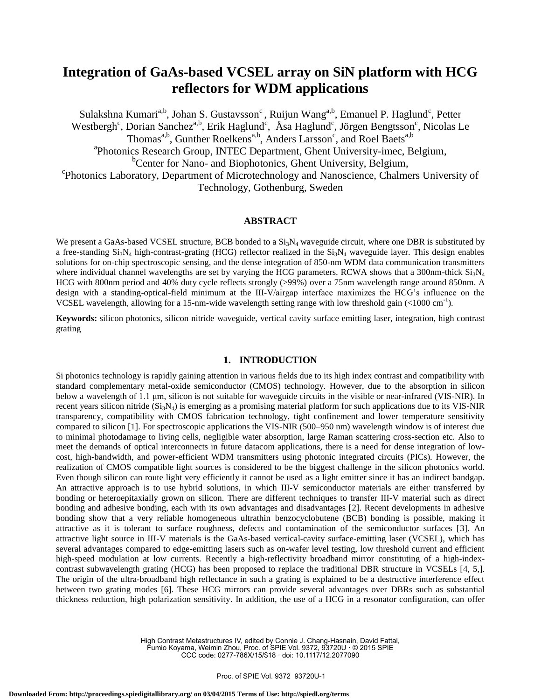# **Integration of GaAs-based VCSEL array on SiN platform with HCG reflectors for WDM applications**

Sulakshna Kumari<sup>a,b</sup>, Johan S. Gustavsson<sup>c</sup>, Ruijun Wang<sup>a,b</sup>, Emanuel P. Haglund<sup>c</sup>, Petter Westbergh<sup>c</sup>, Dorian Sanchez<sup>a,b</sup>, Erik Haglund<sup>c</sup>, Åsa Haglund<sup>c</sup>, Jörgen Bengtsson<sup>c</sup>, Nicolas Le Thomas<sup>a,b</sup>, Gunther Roelkens<sup>a,b</sup>, Anders Larsson<sup>c</sup>, and Roel Baets<sup>a,b</sup> <sup>a</sup>Photonics Research Group, INTEC Department, Ghent University-imec, Belgium, <sup>b</sup>Center for Nano- and Biophotonics, Ghent University, Belgium, c Photonics Laboratory, Department of Microtechnology and Nanoscience, Chalmers University of Technology, Gothenburg, Sweden

# **ABSTRACT**

We present a GaAs-based VCSEL structure, BCB bonded to a  $Si<sub>3</sub>N<sub>4</sub>$  waveguide circuit, where one DBR is substituted by a free-standing  $Si_3N_4$  high-contrast-grating (HCG) reflector realized in the  $Si_3N_4$  waveguide layer. This design enables solutions for on-chip spectroscopic sensing, and the dense integration of 850-nm WDM data communication transmitters where individual channel wavelengths are set by varying the HCG parameters. RCWA shows that a 300nm-thick  $Si<sub>3</sub>N<sub>4</sub>$ HCG with 800nm period and 40% duty cycle reflects strongly (>99%) over a 75nm wavelength range around 850nm. A design with a standing-optical-field minimum at the III-V/airgap interface maximizes the HCG's influence on the VCSEL wavelength, allowing for a 15-nm-wide wavelength setting range with low threshold gain (<1000 cm<sup>-1</sup>).

**Keywords:** silicon photonics, silicon nitride waveguide, vertical cavity surface emitting laser, integration, high contrast grating

## **1. INTRODUCTION**

Si photonics technology is rapidly gaining attention in various fields due to its high index contrast and compatibility with standard complementary metal-oxide semiconductor (CMOS) technology. However, due to the absorption in silicon below a wavelength of 1.1 μm, silicon is not suitable for waveguide circuits in the visible or near-infrared (VIS-NIR). In recent years silicon nitride  $(Si<sub>3</sub>N<sub>4</sub>)$  is emerging as a promising material platform for such applications due to its VIS-NIR transparency, compatibility with CMOS fabrication technology, tight confinement and lower temperature sensitivity compared to silicon [1]. For spectroscopic applications the VIS-NIR (500–950 nm) wavelength window is of interest due to minimal photodamage to living cells, negligible water absorption, large Raman scattering cross-section etc. Also to meet the demands of optical interconnects in future datacom applications, there is a need for dense integration of lowcost, high-bandwidth, and power-efficient WDM transmitters using photonic integrated circuits (PICs). However, the realization of CMOS compatible light sources is considered to be the biggest challenge in the silicon photonics world. Even though silicon can route light very efficiently it cannot be used as a light emitter since it has an indirect bandgap. An attractive approach is to use hybrid solutions, in which III-V semiconductor materials are either transferred by bonding or heteroepitaxially grown on silicon. There are different techniques to transfer III-V material such as direct bonding and adhesive bonding, each with its own advantages and disadvantages [2]. Recent developments in adhesive bonding show that a very reliable homogeneous ultrathin benzocyclobutene (BCB) bonding is possible, making it attractive as it is tolerant to surface roughness, defects and contamination of the semiconductor surfaces [3]. An attractive light source in III-V materials is the GaAs-based vertical-cavity surface-emitting laser (VCSEL), which has several advantages compared to edge-emitting lasers such as on-wafer level testing, low threshold current and efficient high-speed modulation at low currents. Recently a high-reflectivity broadband mirror constituting of a high-indexcontrast subwavelength grating (HCG) has been proposed to replace the traditional DBR structure in VCSELs [4, 5,]. The origin of the ultra-broadband high reflectance in such a grating is explained to be a destructive interference effect between two grating modes [6]. These HCG mirrors can provide several advantages over DBRs such as substantial thickness reduction, high polarization sensitivity. In addition, the use of a HCG in a resonator configuration, can offer

> High Contrast Metastructures IV, edited by Connie J. Chang-Hasnain, David Fattal, Fumio Koyama, Weimin Zhou, Proc. of SPIE Vol. 9372, 93720U · © 2015 SPIE CCC code: 0277-786X/15/\$18 · doi: 10.1117/12.2077090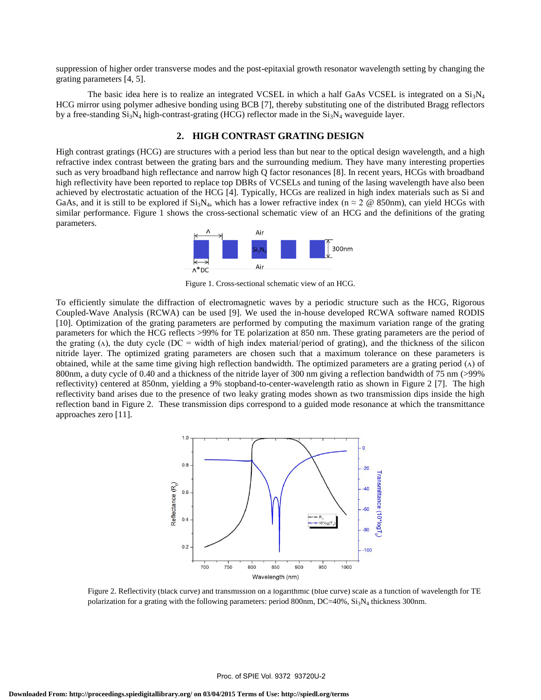suppression of higher order transverse modes and the post-epitaxial growth resonator wavelength setting by changing the grating parameters [4, 5].

The basic idea here is to realize an integrated VCSEL in which a half GaAs VCSEL is integrated on a  $Si_3N_4$ HCG mirror using polymer adhesive bonding using BCB [7], thereby substituting one of the distributed Bragg reflectors by a free-standing  $Si_3N_4$  high-contrast-grating (HCG) reflector made in the  $Si_3N_4$  waveguide layer.

# **2. HIGH CONTRAST GRATING DESIGN**

High contrast gratings (HCG) are structures with a period less than but near to the optical design wavelength, and a high refractive index contrast between the grating bars and the surrounding medium. They have many interesting properties such as very broadband high reflectance and narrow high Q factor resonances [8]. In recent years, HCGs with broadband high reflectivity have been reported to replace top DBRs of VCSELs and tuning of the lasing wavelength have also been achieved by electrostatic actuation of the HCG [4]. Typically, HCGs are realized in high index materials such as Si and GaAs, and it is still to be explored if  $Si_3N_4$ , which has a lower refractive index (n  $\approx$  2 @ 850nm), can yield HCGs with similar performance. Figure 1 shows the cross-sectional schematic view of an HCG and the definitions of the grating parameters.



Figure 1. Cross-sectional schematic view of an HCG.

To efficiently simulate the diffraction of electromagnetic waves by a periodic structure such as the HCG, Rigorous Coupled-Wave Analysis (RCWA) can be used [9]. We used the in-house developed RCWA software named RODIS [10]. Optimization of the grating parameters are performed by computing the maximum variation range of the grating parameters for which the HCG reflects >99% for TE polarization at 850 nm. These grating parameters are the period of the grating  $(\Lambda)$ , the duty cycle (DC = width of high index material/period of grating), and the thickness of the silicon nitride layer. The optimized grating parameters are chosen such that a maximum tolerance on these parameters is obtained, while at the same time giving high reflection bandwidth. The optimized parameters are a grating period  $(\Lambda)$  of 800nm, a duty cycle of 0.40 and a thickness of the nitride layer of 300 nm giving a reflection bandwidth of 75 nm (>99% reflectivity) centered at 850nm, yielding a 9% stopband-to-center-wavelength ratio as shown in Figure 2 [7]. The high reflectivity band arises due to the presence of two leaky grating modes shown as two transmission dips inside the high reflection band in Figure 2. These transmission dips correspond to a guided mode resonance at which the transmittance approaches zero [11].



Figure 2. Reflectivity (black curve) and transmission on a logarithmic (blue curve) scale as a function of wavelength for TE polarization for a grating with the following parameters: period 800nm, DC=40%, Si<sub>3</sub>N<sub>4</sub> thickness 300nm.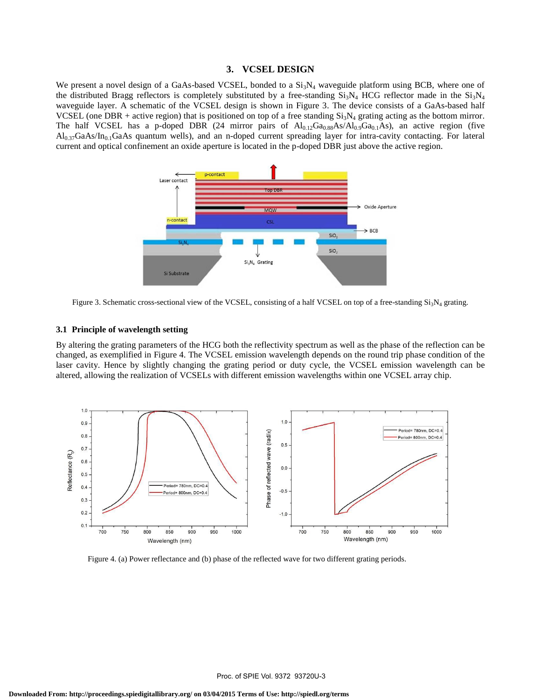#### **3. VCSEL DESIGN**

We present a novel design of a GaAs-based VCSEL, bonded to a  $Si<sub>3</sub>N<sub>4</sub>$  waveguide platform using BCB, where one of the distributed Bragg reflectors is completely substituted by a free-standing  $Si_3N_4$  HCG reflector made in the  $Si_3N_4$ waveguide layer. A schematic of the VCSEL design is shown in Figure 3. The device consists of a GaAs-based half VCSEL (one DBR + active region) that is positioned on top of a free standing  $Si<sub>3</sub>N<sub>4</sub>$  grating acting as the bottom mirror. The half VCSEL has a p-doped DBR (24 mirror pairs of  $Al_{0.12}Ga_{0.88}As/Al_{0.9}Ga_{0.1}As$ ), an active region (five  $Al_{0.37}GaAs/In_{0.1}GaAs$  quantum wells), and an n-doped current spreading layer for intra-cavity contacting. For lateral current and optical confinement an oxide aperture is located in the p-doped DBR just above the active region.



Figure 3. Schematic cross-sectional view of the VCSEL, consisting of a half VCSEL on top of a free-standing  $Si<sub>3</sub>N<sub>4</sub>$  grating.

#### **3.1 Principle of wavelength setting**

By altering the grating parameters of the HCG both the reflectivity spectrum as well as the phase of the reflection can be changed, as exemplified in Figure 4. The VCSEL emission wavelength depends on the round trip phase condition of the laser cavity. Hence by slightly changing the grating period or duty cycle, the VCSEL emission wavelength can be altered, allowing the realization of VCSELs with different emission wavelengths within one VCSEL array chip.



Figure 4. (a) Power reflectance and (b) phase of the reflected wave for two different grating periods.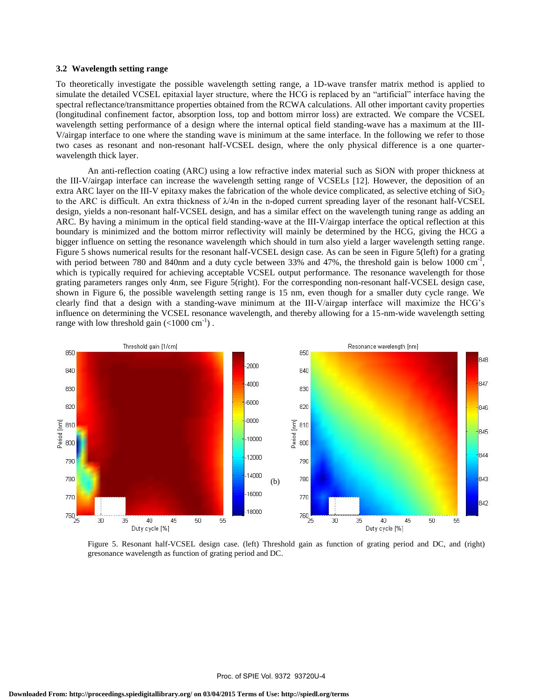#### **3.2 Wavelength setting range**

To theoretically investigate the possible wavelength setting range, a 1D-wave transfer matrix method is applied to simulate the detailed VCSEL epitaxial layer structure, where the HCG is replaced by an "artificial" interface having the spectral reflectance/transmittance properties obtained from the RCWA calculations. All other important cavity properties (longitudinal confinement factor, absorption loss, top and bottom mirror loss) are extracted. We compare the VCSEL wavelength setting performance of a design where the internal optical field standing-wave has a maximum at the III-V/airgap interface to one where the standing wave is minimum at the same interface. In the following we refer to those two cases as resonant and non-resonant half-VCSEL design, where the only physical difference is a one quarterwavelength thick layer.

An anti-reflection coating (ARC) using a low refractive index material such as SiON with proper thickness at the III-V/airgap interface can increase the wavelength setting range of VCSELs [12]. However, the deposition of an extra ARC layer on the III-V epitaxy makes the fabrication of the whole device complicated, as selective etching of  $SiO<sub>2</sub>$ to the ARC is difficult. An extra thickness of  $\lambda$ /4n in the n-doped current spreading layer of the resonant half-VCSEL design, yields a non-resonant half-VCSEL design, and has a similar effect on the wavelength tuning range as adding an ARC. By having a minimum in the optical field standing-wave at the III-V/airgap interface the optical reflection at this boundary is minimized and the bottom mirror reflectivity will mainly be determined by the HCG, giving the HCG a bigger influence on setting the resonance wavelength which should in turn also yield a larger wavelength setting range. Figure 5 shows numerical results for the resonant half-VCSEL design case. As can be seen in Figure 5(left) for a grating with period between 780 and 840nm and a duty cycle between 33% and 47%, the threshold gain is below 1000  $cm^{-1}$ , which is typically required for achieving acceptable VCSEL output performance. The resonance wavelength for those grating parameters ranges only 4nm, see Figure 5(right). For the corresponding non-resonant half-VCSEL design case, shown in Figure 6, the possible wavelength setting range is 15 nm, even though for a smaller duty cycle range. We clearly find that a design with a standing-wave minimum at the III-V/airgap interface will maximize the HCG's influence on determining the VCSEL resonance wavelength, and thereby allowing for a 15-nm-wide wavelength setting range with low threshold gain  $(<1000 \text{ cm}^{-1})$ .



Figure 5. Resonant half-VCSEL design case. (left) Threshold gain as function of grating period and DC, and (right) gresonance wavelength as function of grating period and DC.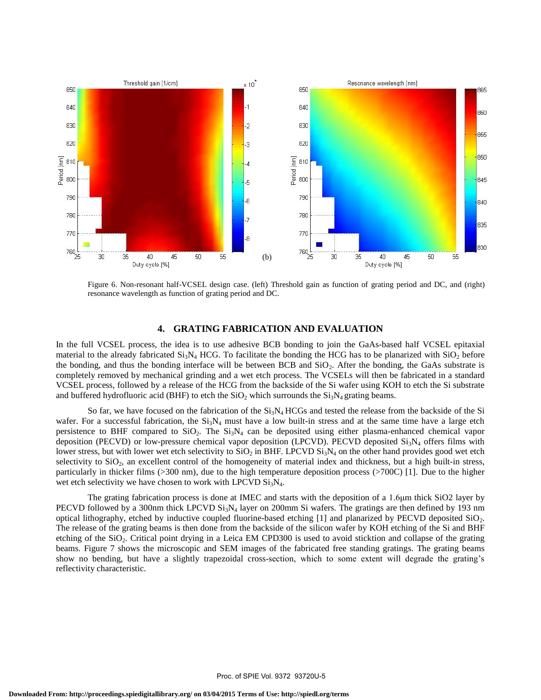

Figure 6. Non-resonant half-VCSEL design case. (left) Threshold gain as function of grating period and DC, and (right) resonance wavelength as function of grating period and DC.

#### **4. GRATING FABRICATION AND EVALUATION**

In the full VCSEL process, the idea is to use adhesive BCB bonding to join the GaAs-based half VCSEL epitaxial material to the already fabricated  $Si<sub>3</sub>N<sub>4</sub> HCG$ . To facilitate the bonding the HCG has to be planarized with  $SiO<sub>2</sub>$  before the bonding, and thus the bonding interface will be between BCB and  $SiO<sub>2</sub>$ . After the bonding, the GaAs substrate is completely removed by mechanical grinding and a wet etch process. The VCSELs will then be fabricated in a standard VCSEL process, followed by a release of the HCG from the backside of the Si wafer using KOH to etch the Si substrate and buffered hydrofluoric acid (BHF) to etch the  $SiO<sub>2</sub>$  which surrounds the  $Si<sub>3</sub>N<sub>4</sub>$  grating beams.

So far, we have focused on the fabrication of the  $Si_3N_4$  HCGs and tested the release from the backside of the Si wafer. For a successful fabrication, the  $Si<sub>3</sub>N<sub>4</sub>$  must have a low built-in stress and at the same time have a large etch persistence to BHF compared to  $SiO<sub>2</sub>$ . The  $Si<sub>3</sub>N<sub>4</sub>$  can be deposited using either plasma-enhanced chemical vapor deposition (PECVD) or low-pressure chemical vapor deposition (LPCVD). PECVD deposited  $Si<sub>3</sub>N<sub>4</sub>$  offers films with lower stress, but with lower wet etch selectivity to  $SiO<sub>2</sub>$  in BHF. LPCVD  $Si<sub>3</sub>N<sub>4</sub>$  on the other hand provides good wet etch selectivity to SiO<sub>2</sub>, an excellent control of the homogeneity of material index and thickness, but a high built-in stress, particularly in thicker films (>300 nm), due to the high temperature deposition process (>700C) [1]. Due to the higher wet etch selectivity we have chosen to work with LPCVD  $Si<sub>3</sub>N<sub>4</sub>$ .

The grating fabrication process is done at IMEC and starts with the deposition of a 1.6μm thick SiO2 layer by PECVD followed by a 300nm thick LPCVD  $Si_3N_4$  layer on 200mm Si wafers. The gratings are then defined by 193 nm optical lithography, etched by inductive coupled fluorine-based etching  $[1]$  and planarized by PECVD deposited  $SiO<sub>2</sub>$ . The release of the grating beams is then done from the backside of the silicon wafer by KOH etching of the Si and BHF etching of the  $SiO<sub>2</sub>$ . Critical point drying in a Leica EM CPD300 is used to avoid sticktion and collapse of the grating beams. Figure 7 shows the microscopic and SEM images of the fabricated free standing gratings. The grating beams show no bending, but have a slightly trapezoidal cross-section, which to some extent will degrade the grating's reflectivity characteristic.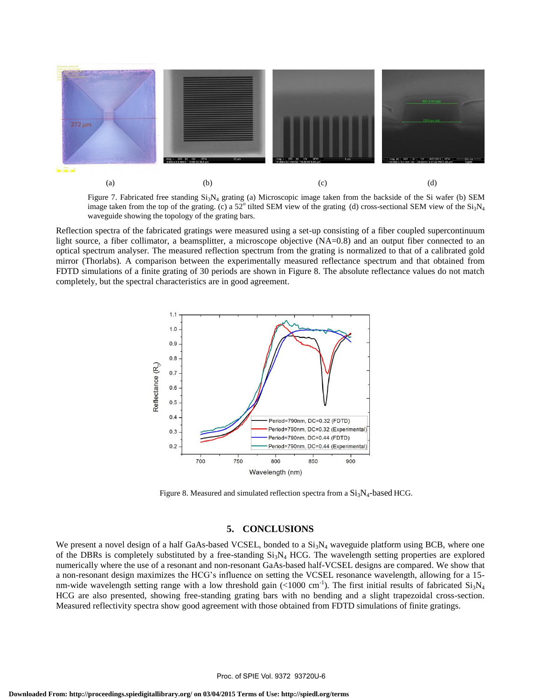

Figure 7. Fabricated free standing  $Si<sub>3</sub>N<sub>4</sub>$  grating (a) Microscopic image taken from the backside of the Si wafer (b) SEM image taken from the top of the grating. (c) a 52° tilted SEM view of the grating (d) cross-sectional SEM view of the  $Si<sub>3</sub>N<sub>4</sub>$ waveguide showing the topology of the grating bars.

Reflection spectra of the fabricated gratings were measured using a set-up consisting of a fiber coupled supercontinuum light source, a fiber collimator, a beamsplitter, a microscope objective (NA=0.8) and an output fiber connected to an optical spectrum analyser. The measured reflection spectrum from the grating is normalized to that of a calibrated gold mirror (Thorlabs). A comparison between the experimentally measured reflectance spectrum and that obtained from FDTD simulations of a finite grating of 30 periods are shown in Figure 8. The absolute reflectance values do not match completely, but the spectral characteristics are in good agreement.



Figure 8. Measured and simulated reflection spectra from a  $Si<sub>3</sub>N<sub>4</sub>$ -based HCG.

### **5. CONCLUSIONS**

We present a novel design of a half GaAs-based VCSEL, bonded to a Si<sub>3</sub>N<sub>4</sub> waveguide platform using BCB, where one of the DBRs is completely substituted by a free-standing  $Si_3N_4$  HCG. The wavelength setting properties are explored numerically where the use of a resonant and non-resonant GaAs-based half-VCSEL designs are compared. We show that a non-resonant design maximizes the HCG's influence on setting the VCSEL resonance wavelength, allowing for a 15 nm-wide wavelength setting range with a low threshold gain (<1000 cm<sup>-1</sup>). The first initial results of fabricated  $Si<sub>3</sub>N<sub>4</sub>$ HCG are also presented, showing free-standing grating bars with no bending and a slight trapezoidal cross-section. Measured reflectivity spectra show good agreement with those obtained from FDTD simulations of finite gratings.